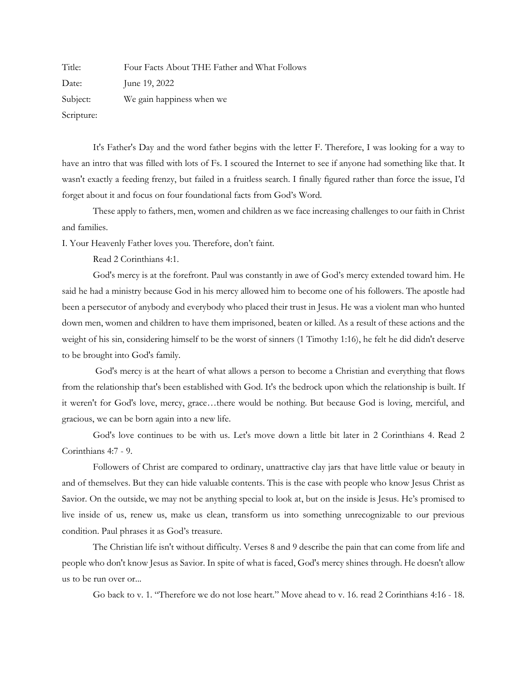Title: Four Facts About THE Father and What Follows Date: **June 19, 2022** Subject: We gain happiness when we Scripture:

It's Father's Day and the word father begins with the letter F. Therefore, I was looking for a way to have an intro that was filled with lots of Fs. I scoured the Internet to see if anyone had something like that. It wasn't exactly a feeding frenzy, but failed in a fruitless search. I finally figured rather than force the issue, I'd forget about it and focus on four foundational facts from God's Word.

These apply to fathers, men, women and children as we face increasing challenges to our faith in Christ and families.

I. Your Heavenly Father loves you. Therefore, don't faint.

Read 2 Corinthians 4:1.

God's mercy is at the forefront. Paul was constantly in awe of God's mercy extended toward him. He said he had a ministry because God in his mercy allowed him to become one of his followers. The apostle had been a persecutor of anybody and everybody who placed their trust in Jesus. He was a violent man who hunted down men, women and children to have them imprisoned, beaten or killed. As a result of these actions and the weight of his sin, considering himself to be the worst of sinners (1 Timothy 1:16), he felt he did didn't deserve to be brought into God's family.

God's mercy is at the heart of what allows a person to become a Christian and everything that flows from the relationship that's been established with God. It's the bedrock upon which the relationship is built. If it weren't for God's love, mercy, grace…there would be nothing. But because God is loving, merciful, and gracious, we can be born again into a new life.

God's love continues to be with us. Let's move down a little bit later in 2 Corinthians 4. Read 2 Corinthians 4:7 - 9.

Followers of Christ are compared to ordinary, unattractive clay jars that have little value or beauty in and of themselves. But they can hide valuable contents. This is the case with people who know Jesus Christ as Savior. On the outside, we may not be anything special to look at, but on the inside is Jesus. He's promised to live inside of us, renew us, make us clean, transform us into something unrecognizable to our previous condition. Paul phrases it as God's treasure.

The Christian life isn't without difficulty. Verses 8 and 9 describe the pain that can come from life and people who don't know Jesus as Savior. In spite of what is faced, God's mercy shines through. He doesn't allow us to be run over or...

Go back to v. 1. "Therefore we do not lose heart." Move ahead to v. 16. read 2 Corinthians 4:16 - 18.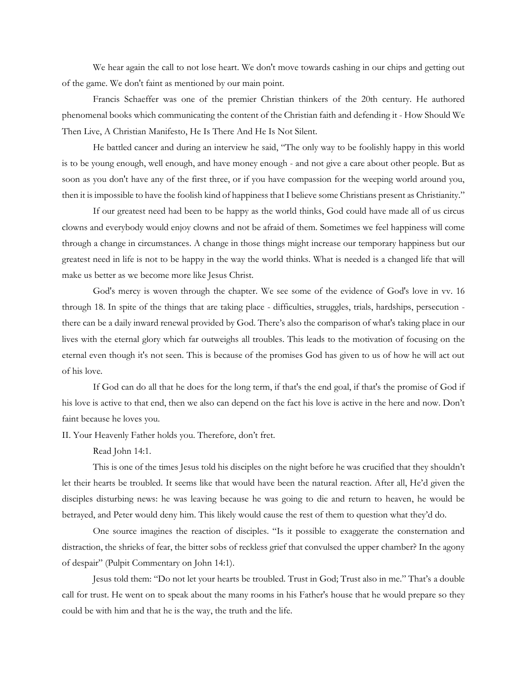We hear again the call to not lose heart. We don't move towards cashing in our chips and getting out of the game. We don't faint as mentioned by our main point.

Francis Schaeffer was one of the premier Christian thinkers of the 20th century. He authored phenomenal books which communicating the content of the Christian faith and defending it - How Should We Then Live, A Christian Manifesto, He Is There And He Is Not Silent.

He battled cancer and during an interview he said, "The only way to be foolishly happy in this world is to be young enough, well enough, and have money enough - and not give a care about other people. But as soon as you don't have any of the first three, or if you have compassion for the weeping world around you, then it is impossible to have the foolish kind of happiness that I believe some Christians present as Christianity."

If our greatest need had been to be happy as the world thinks, God could have made all of us circus clowns and everybody would enjoy clowns and not be afraid of them. Sometimes we feel happiness will come through a change in circumstances. A change in those things might increase our temporary happiness but our greatest need in life is not to be happy in the way the world thinks. What is needed is a changed life that will make us better as we become more like Jesus Christ.

God's mercy is woven through the chapter. We see some of the evidence of God's love in vv. 16 through 18. In spite of the things that are taking place - difficulties, struggles, trials, hardships, persecution there can be a daily inward renewal provided by God. There's also the comparison of what's taking place in our lives with the eternal glory which far outweighs all troubles. This leads to the motivation of focusing on the eternal even though it's not seen. This is because of the promises God has given to us of how he will act out of his love.

If God can do all that he does for the long term, if that's the end goal, if that's the promise of God if his love is active to that end, then we also can depend on the fact his love is active in the here and now. Don't faint because he loves you.

II. Your Heavenly Father holds you. Therefore, don't fret.

Read John 14:1.

This is one of the times Jesus told his disciples on the night before he was crucified that they shouldn't let their hearts be troubled. It seems like that would have been the natural reaction. After all, He'd given the disciples disturbing news: he was leaving because he was going to die and return to heaven, he would be betrayed, and Peter would deny him. This likely would cause the rest of them to question what they'd do.

One source imagines the reaction of disciples. "Is it possible to exaggerate the consternation and distraction, the shrieks of fear, the bitter sobs of reckless grief that convulsed the upper chamber? In the agony of despair" (Pulpit Commentary on John 14:1).

Jesus told them: "Do not let your hearts be troubled. Trust in God; Trust also in me." That's a double call for trust. He went on to speak about the many rooms in his Father's house that he would prepare so they could be with him and that he is the way, the truth and the life.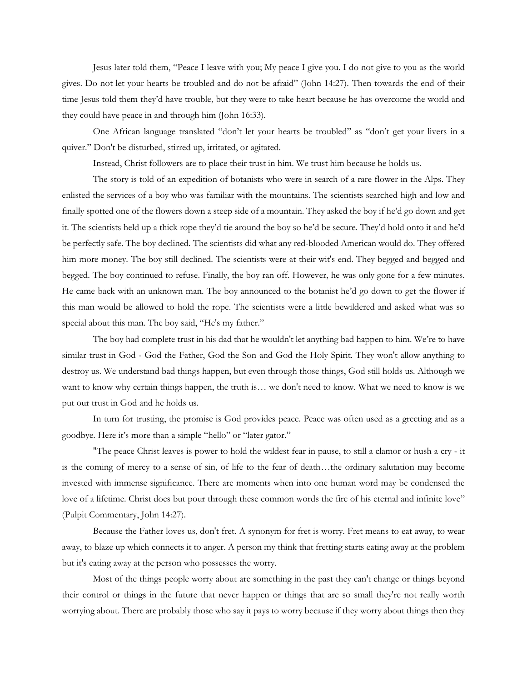Jesus later told them, "Peace I leave with you; My peace I give you. I do not give to you as the world gives. Do not let your hearts be troubled and do not be afraid" (John 14:27). Then towards the end of their time Jesus told them they'd have trouble, but they were to take heart because he has overcome the world and they could have peace in and through him (John 16:33).

One African language translated "don't let your hearts be troubled" as "don't get your livers in a quiver." Don't be disturbed, stirred up, irritated, or agitated.

Instead, Christ followers are to place their trust in him. We trust him because he holds us.

The story is told of an expedition of botanists who were in search of a rare flower in the Alps. They enlisted the services of a boy who was familiar with the mountains. The scientists searched high and low and finally spotted one of the flowers down a steep side of a mountain. They asked the boy if he'd go down and get it. The scientists held up a thick rope they'd tie around the boy so he'd be secure. They'd hold onto it and he'd be perfectly safe. The boy declined. The scientists did what any red-blooded American would do. They offered him more money. The boy still declined. The scientists were at their wit's end. They begged and begged and begged. The boy continued to refuse. Finally, the boy ran off. However, he was only gone for a few minutes. He came back with an unknown man. The boy announced to the botanist he'd go down to get the flower if this man would be allowed to hold the rope. The scientists were a little bewildered and asked what was so special about this man. The boy said, "He's my father."

The boy had complete trust in his dad that he wouldn't let anything bad happen to him. We're to have similar trust in God - God the Father, God the Son and God the Holy Spirit. They won't allow anything to destroy us. We understand bad things happen, but even through those things, God still holds us. Although we want to know why certain things happen, the truth is… we don't need to know. What we need to know is we put our trust in God and he holds us.

In turn for trusting, the promise is God provides peace. Peace was often used as a greeting and as a goodbye. Here it's more than a simple "hello" or "later gator."

"The peace Christ leaves is power to hold the wildest fear in pause, to still a clamor or hush a cry - it is the coming of mercy to a sense of sin, of life to the fear of death…the ordinary salutation may become invested with immense significance. There are moments when into one human word may be condensed the love of a lifetime. Christ does but pour through these common words the fire of his eternal and infinite love" (Pulpit Commentary, John 14:27).

Because the Father loves us, don't fret. A synonym for fret is worry. Fret means to eat away, to wear away, to blaze up which connects it to anger. A person my think that fretting starts eating away at the problem but it's eating away at the person who possesses the worry.

Most of the things people worry about are something in the past they can't change or things beyond their control or things in the future that never happen or things that are so small they're not really worth worrying about. There are probably those who say it pays to worry because if they worry about things then they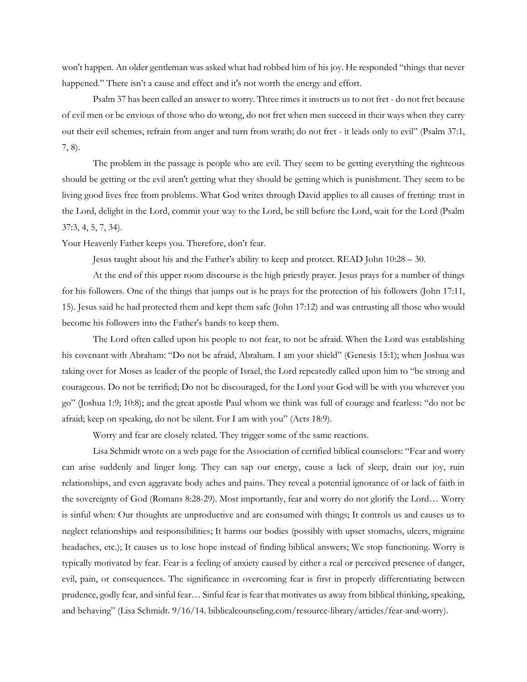won't happen. An older gentleman was asked what had robbed him of his joy. He responded "things that never happened." There isn't a cause and effect and it's not worth the energy and effort.

Psalm 37 has been called an answer to worry. Three times it instructs us to not fret - do not fret because of evil men or be envious of those who do wrong, do not fret when men succeed in their ways when they carry out their evil schemes, refrain from anger and turn from wrath; do not fret - it leads only to evil" (Psalm 37:1, 7, 8).

The problem in the passage is people who are evil. They seem to be getting everything the righteous should be getting or the evil aren't getting what they should be getting which is punishment. They seem to be living good lives free from problems. What God writes through David applies to all causes of fretting: trust in the Lord, delight in the Lord, commit your way to the Lord, be still before the Lord, wait for the Lord (Psalm 37:3, 4, 5, 7, 34).

Your Heavenly Father keeps you. Therefore, don't fear.

Jesus taught about his and the Father's ability to keep and protect. READ John 10:28 – 30.

At the end of this upper room discourse is the high priestly prayer. Jesus prays for a number of things for his followers. One of the things that jumps out is he prays for the protection of his followers (John 17:11, 15). Jesus said he had protected them and kept them safe (John 17:12) and was entrusting all those who would become his followers into the Father's hands to keep them.

The Lord often called upon his people to not fear, to not be afraid. When the Lord was establishing his covenant with Abraham: "Do not be afraid, Abraham. I am your shield" (Genesis 15:1); when Joshua was taking over for Moses as leader of the people of Israel, the Lord repeatedly called upon him to "be strong and courageous. Do not be terrified; Do not be discouraged, for the Lord your God will be with you wherever you go" (Joshua 1:9; 10:8); and the great apostle Paul whom we think was full of courage and fearless: "do not be afraid; keep on speaking, do not be silent. For I am with you" (Acts 18:9).

Worry and fear are closely related. They trigger some of the same reactions.

Lisa Schmidt wrote on a web page for the Association of certified biblical counselors: "Fear and worry can arise suddenly and linger long. They can sap our energy, cause a lack of sleep, drain our joy, ruin relationships, and even aggravate body aches and pains. They reveal a potential ignorance of or lack of faith in the sovereignty of God [\(Romans 8:28-29\)](https://biblia.com/bible/esv/Rom%208.28-29). Most importantly, fear and worry do not glorify the Lord… Worry is sinful when: Our thoughts are unproductive and are consumed with things; It controls us and causes us to neglect relationships and responsibilities; It harms our bodies (possibly with upset stomachs, ulcers, migraine headaches, etc.); It causes us to lose hope instead of finding biblical answers; We stop functioning. Worry is typically motivated by fear. Fear is a feeling of anxiety caused by either a real or perceived presence of danger, evil, pain, or consequences. The significance in overcoming fear is first in properly differentiating between prudence, godly fear, and sinful fear… Sinful fear is fear that motivates us away from biblical thinking, speaking, and behaving" (Lisa Schmidt. 9/16/14. biblicalcounseling.com/resource-library/articles/fear-and-worry).